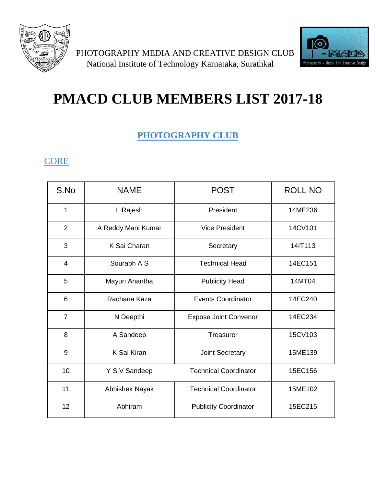



# **PMACD CLUB MEMBERS LIST 2017-18**

# **PHOTOGRAPHY CLUB**

## **CORE**

| S.No           | <b>NAME</b>        | <b>POST</b>                  | <b>ROLL NO</b> |
|----------------|--------------------|------------------------------|----------------|
| $\mathbf{1}$   | L Rajesh           | President                    | 14ME236        |
| $\overline{2}$ | A Reddy Mani Kumar | <b>Vice President</b>        | 14CV101        |
| 3              | K Sai Charan       | Secretary                    | 14IT113        |
| $\overline{4}$ | Sourabh A S        | <b>Technical Head</b>        | 14EC151        |
| 5              | Mayuri Anantha     | <b>Publicity Head</b>        | 14MT04         |
| 6              | Rachana Kaza       | <b>Events Coordinator</b>    | 14EC240        |
| $\overline{7}$ | N Deepthi          | <b>Expose Joint Convenor</b> | 14EC234        |
| 8              | A Sandeep          | Treasurer                    | 15CV103        |
| 9              | K Sai Kiran        | Joint Secretary              | 15ME139        |
| 10             | Y S V Sandeep      | <b>Technical Coordinator</b> | 15EC156        |
| 11             | Abhishek Nayak     | <b>Technical Coordinator</b> | 15ME102        |
| 12             | Abhiram            | <b>Publicity Coordinator</b> | 15EC215        |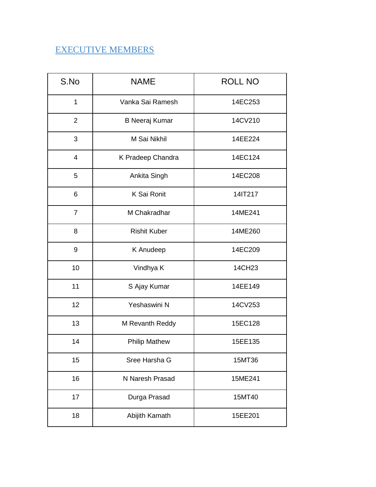#### EXECUTIVE MEMBERS

| S.No           | <b>NAME</b>           | <b>ROLL NO</b> |
|----------------|-----------------------|----------------|
| $\mathbf{1}$   | Vanka Sai Ramesh      | 14EC253        |
| $\overline{2}$ | <b>B Neeraj Kumar</b> | 14CV210        |
| 3              | M Sai Nikhil          | 14EE224        |
| 4              | K Pradeep Chandra     | 14EC124        |
| 5              | Ankita Singh          | 14EC208        |
| 6              | K Sai Ronit           | 14IT217        |
| $\overline{7}$ | M Chakradhar          | 14ME241        |
| 8              | <b>Rishit Kuber</b>   | 14ME260        |
| 9              | K Anudeep             | 14EC209        |
| 10             | Vindhya K             | 14CH23         |
| 11             | S Ajay Kumar          | 14EE149        |
| 12             | Yeshaswini N          | 14CV253        |
| 13             | M Revanth Reddy       | 15EC128        |
| 14             | <b>Philip Mathew</b>  | 15EE135        |
| 15             | Sree Harsha G         | 15MT36         |
| 16             | N Naresh Prasad       | 15ME241        |
| 17             | Durga Prasad          | 15MT40         |
| 18             | Abijith Kamath        | 15EE201        |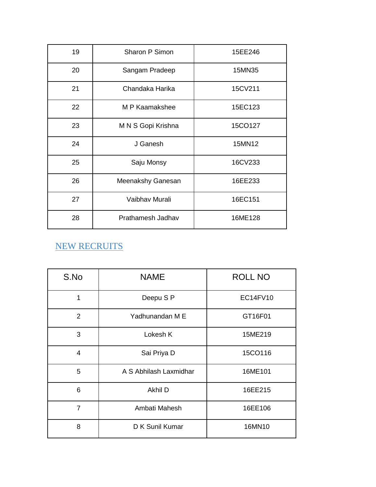| 19 | Sharon P Simon     | 15EE246 |
|----|--------------------|---------|
| 20 | Sangam Pradeep     | 15MN35  |
| 21 | Chandaka Harika    | 15CV211 |
| 22 | M P Kaamakshee     | 15EC123 |
| 23 | M N S Gopi Krishna | 15CO127 |
| 24 | J Ganesh           | 15MN12  |
| 25 | Saju Monsy         | 16CV233 |
| 26 | Meenakshy Ganesan  | 16EE233 |
| 27 | Vaibhav Murali     | 16EC151 |
| 28 | Prathamesh Jadhav  | 16ME128 |

# NEW RECRUITS

| S.No           | <b>NAME</b>            | <b>ROLL NO</b> |
|----------------|------------------------|----------------|
| 1              | Deepu S P              | EC14FV10       |
| 2              | Yadhunandan M E        | GT16F01        |
| 3              | Lokesh K               | 15ME219        |
| 4              | Sai Priya D            | 15CO116        |
| 5              | A S Abhilash Laxmidhar | 16ME101        |
| 6              | Akhil D                | 16EE215        |
| $\overline{7}$ | Ambati Mahesh          | 16EE106        |
| 8              | D K Sunil Kumar        | 16MN10         |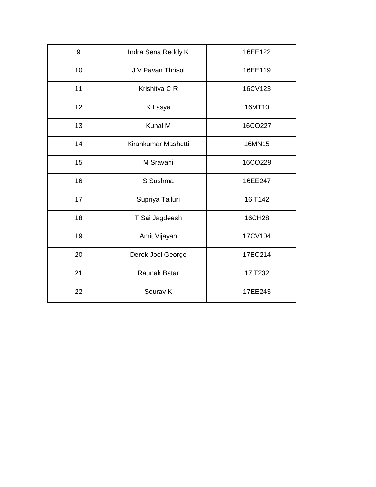| 9  | Indra Sena Reddy K  | 16EE122 |
|----|---------------------|---------|
| 10 | J V Pavan Thrisol   | 16EE119 |
| 11 | Krishitva C R       | 16CV123 |
| 12 | K Lasya             | 16MT10  |
| 13 | Kunal M             | 16CO227 |
| 14 | Kirankumar Mashetti | 16MN15  |
| 15 | M Sravani           | 16CO229 |
| 16 | S Sushma            | 16EE247 |
| 17 | Supriya Talluri     | 16IT142 |
| 18 | T Sai Jagdeesh      | 16CH28  |
| 19 | Amit Vijayan        | 17CV104 |
| 20 | Derek Joel George   | 17EC214 |
| 21 | Raunak Batar        | 17IT232 |
| 22 | Sourav <sub>K</sub> | 17EE243 |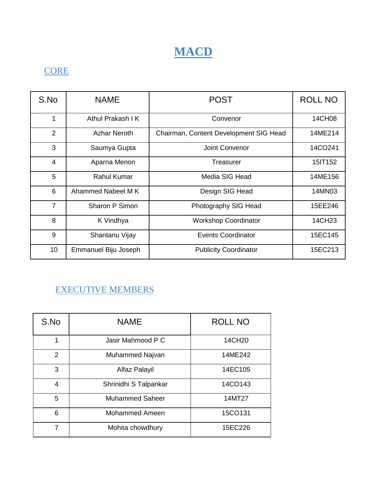

# **CORE**

| S.No            | <b>NAME</b>          | <b>POST</b>                            | <b>ROLL NO</b> |
|-----------------|----------------------|----------------------------------------|----------------|
| 1               | Athul Prakash I K    | Convenor                               | 14CH08         |
| $\overline{2}$  | <b>Azhar Neroth</b>  | Chairman, Content Development SIG Head | 14ME214        |
| 3               | Saumya Gupta         | Joint Convenor                         | 14CO241        |
| $\overline{4}$  | Aparna Menon         | Treasurer                              | 15IT152        |
| 5               | <b>Rahul Kumar</b>   | Media SIG Head                         | 14ME156        |
| 6               | Ahammed Nabeel M K   | Design SIG Head                        | 14MN03         |
| $\overline{7}$  | Sharon P Simon       | Photography SIG Head                   | 15EE246        |
| 8               | K Vindhya            | <b>Workshop Coordinator</b>            | 14CH23         |
| 9               | Shantanu Vijay       | <b>Events Coordinator</b>              | 15EC145        |
| 10 <sup>1</sup> | Emmanuel Biju Joseph | <b>Publicity Coordinator</b>           | 15EC213        |

## EXECUTIVE MEMBERS

| S.No          | <b>NAME</b>            | <b>ROLL NO</b> |
|---------------|------------------------|----------------|
| 1             | Jasir Mahmood P C      | 14CH20         |
| $\mathcal{P}$ | Muhammed Najvan        | 14ME242        |
| 3             | Alfaz Palayil          | 14EC105        |
| 4             | Shrinidhi S Talpankar  | 14CO143        |
| 5             | <b>Muhammed Saheer</b> | 14MT27         |
| 6             | <b>Mohammed Ameen</b>  | 15CO131        |
| 7             | Mohita chowdhury       | 15EC226        |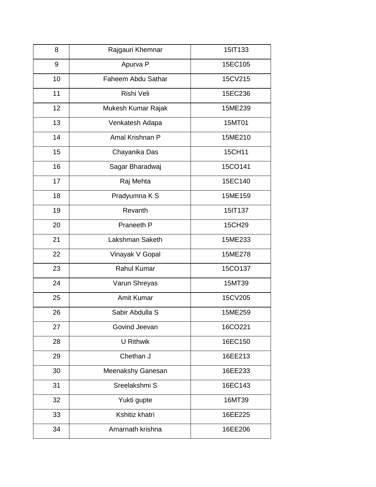| 8  | Rajgauri Khemnar   | 15IT133 |
|----|--------------------|---------|
| 9  | Apurva P           | 15EC105 |
| 10 | Faheem Abdu Sathar | 15CV215 |
| 11 | Rishi Veli         | 15EC236 |
| 12 | Mukesh Kumar Rajak | 15ME239 |
| 13 | Venkatesh Adapa    | 15MT01  |
| 14 | Amal Krishnan P    | 15ME210 |
| 15 | Chayanika Das      | 15CH11  |
| 16 | Sagar Bharadwaj    | 15CO141 |
| 17 | Raj Mehta          | 15EC140 |
| 18 | Pradyumna K S      | 15ME159 |
| 19 | Revanth            | 15IT137 |
| 20 | Praneeth P         | 15CH29  |
| 21 | Lakshman Saketh    | 15ME233 |
| 22 | Vinayak V Gopal    | 15ME278 |
| 23 | Rahul Kumar        | 15CO137 |
| 24 | Varun Shreyas      | 15MT39  |
| 25 | Amit Kumar         | 15CV205 |
| 26 | Sabir Abdulla S    | 15ME259 |
| 27 | Govind Jeevan      | 16CO221 |
| 28 | <b>U</b> Rithwik   | 16EC150 |
| 29 | Chethan J          | 16EE213 |
| 30 | Meenakshy Ganesan  | 16EE233 |
| 31 | Sreelakshmi S      | 16EC143 |
| 32 | Yukti gupte        | 16MT39  |
| 33 | Kshitiz khatri     | 16EE225 |
| 34 | Amarnath krishna   | 16EE206 |